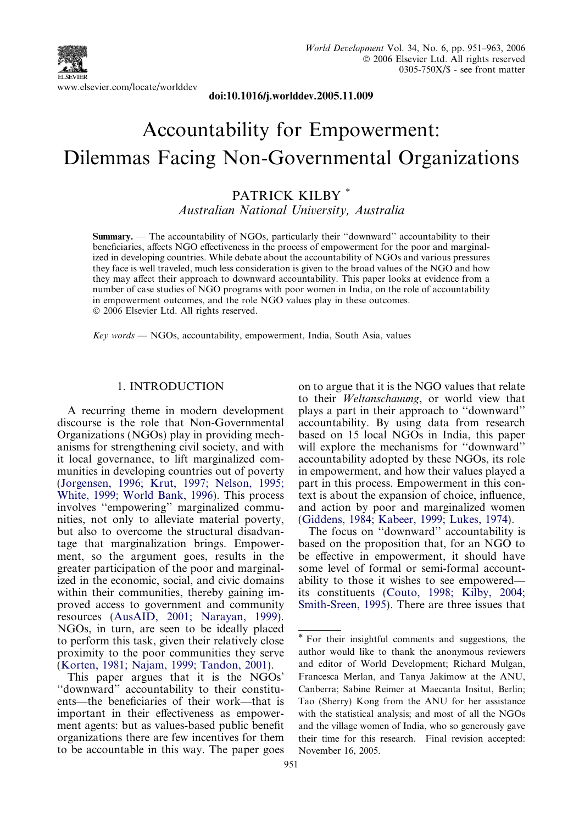

doi:10.1016/j.worlddev.2005.11.009

# Accountability for Empowerment: Dilemmas Facing Non-Governmental Organizations

### PATRICK KILBY \* Australian National University, Australia

Summary. — The accountability of NGOs, particularly their ''downward'' accountability to their beneficiaries, affects NGO effectiveness in the process of empowerment for the poor and marginalized in developing countries. While debate about the accountability of NGOs and various pressures they face is well traveled, much less consideration is given to the broad values of the NGO and how they may affect their approach to downward accountability. This paper looks at evidence from a number of case studies of NGO programs with poor women in India, on the role of accountability in empowerment outcomes, and the role NGO values play in these outcomes. © 2006 Elsevier Ltd. All rights reserved.

Key words — NGOs, accountability, empowerment, India, South Asia, values

#### 1. INTRODUCTION

A recurring theme in modern development discourse is the role that Non-Governmental Organizations (NGOs) play in providing mechanisms for strengthening civil society, and with it local governance, to lift marginalized communities in developing countries out of poverty [\(Jorgensen, 1996; Krut, 1997; Nelson, 1995;](#page--1-0) [White, 1999; World Bank, 1996](#page--1-0)). This process involves ''empowering'' marginalized communities, not only to alleviate material poverty, but also to overcome the structural disadvantage that marginalization brings. Empowerment, so the argument goes, results in the greater participation of the poor and marginalized in the economic, social, and civic domains within their communities, thereby gaining improved access to government and community resources [\(AusAID, 2001; Narayan, 1999\)](#page--1-0). NGOs, in turn, are seen to be ideally placed to perform this task, given their relatively close proximity to the poor communities they serve [\(Korten, 1981; Najam, 1999; Tandon, 2001](#page--1-0)).

This paper argues that it is the NGOs' ''downward'' accountability to their constituents—the beneficiaries of their work—that is important in their effectiveness as empowerment agents: but as values-based public benefit organizations there are few incentives for them to be accountable in this way. The paper goes

on to argue that it is the NGO values that relate to their Weltanschauung, or world view that plays a part in their approach to ''downward'' accountability. By using data from research based on 15 local NGOs in India, this paper will explore the mechanisms for ''downward'' accountability adopted by these NGOs, its role in empowerment, and how their values played a part in this process. Empowerment in this context is about the expansion of choice, influence, and action by poor and marginalized women ([Giddens, 1984; Kabeer, 1999; Lukes, 1974\)](#page--1-0).

The focus on ''downward'' accountability is based on the proposition that, for an NGO to be effective in empowerment, it should have some level of formal or semi-formal accountability to those it wishes to see empowered its constituents ([Couto, 1998; Kilby, 2004;](#page--1-0) [Smith-Sreen, 1995\)](#page--1-0). There are three issues that

<sup>\*</sup> For their insightful comments and suggestions, the author would like to thank the anonymous reviewers and editor of World Development; Richard Mulgan, Francesca Merlan, and Tanya Jakimow at the ANU, Canberra; Sabine Reimer at Maecanta Insitut, Berlin; Tao (Sherry) Kong from the ANU for her assistance with the statistical analysis; and most of all the NGOs and the village women of India, who so generously gave their time for this research. Final revision accepted: November 16, 2005.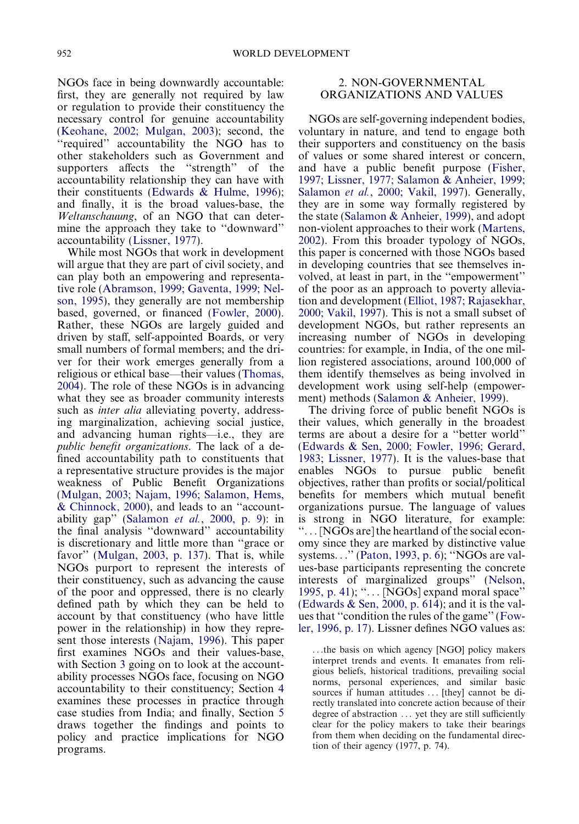NGOs face in being downwardly accountable: first, they are generally not required by law or regulation to provide their constituency the necessary control for genuine accountability [\(Keohane, 2002; Mulgan, 2003\)](#page--1-0); second, the ''required'' accountability the NGO has to other stakeholders such as Government and supporters affects the ''strength'' of the accountability relationship they can have with their constituents ([Edwards & Hulme, 1996\)](#page--1-0); and finally, it is the broad values-base, the Weltanschauung, of an NGO that can determine the approach they take to ''downward'' accountability ([Lissner, 1977\)](#page--1-0).

While most NGOs that work in development will argue that they are part of civil society, and can play both an empowering and representative role ([Abramson, 1999; Gaventa, 1999; Nel](#page--1-0)[son, 1995](#page--1-0)), they generally are not membership based, governed, or financed ([Fowler, 2000\)](#page--1-0). Rather, these NGOs are largely guided and driven by staff, self-appointed Boards, or very small numbers of formal members; and the driver for their work emerges generally from a religious or ethical base—their values [\(Thomas,](#page--1-0) [2004](#page--1-0)). The role of these NGOs is in advancing what they see as broader community interests such as *inter alia* alleviating poverty, addressing marginalization, achieving social justice, and advancing human rights—i.e., they are public benefit organizations. The lack of a defined accountability path to constituents that a representative structure provides is the major weakness of Public Benefit Organizations [\(Mulgan, 2003; Najam, 1996; Salamon, Hems,](#page--1-0) [& Chinnock, 2000](#page--1-0)), and leads to an ''account-ability gap" (Salamon et al.[, 2000, p. 9\)](#page--1-0): in the final analysis ''downward'' accountability is discretionary and little more than ''grace or favor'' [\(Mulgan, 2003, p. 137](#page--1-0)). That is, while NGOs purport to represent the interests of their constituency, such as advancing the cause of the poor and oppressed, there is no clearly defined path by which they can be held to account by that constituency (who have little power in the relationship) in how they represent those interests [\(Najam, 1996\)](#page--1-0). This paper first examines NGOs and their values-base, with Section 3 going on to look at the accountability processes NGOs face, focusing on NGO accountability to their constituency; Section 4 examines these processes in practice through case studies from India; and finally, Section 5 draws together the findings and points to policy and practice implications for NGO programs.

#### 2. NON-GOVERNMENTAL ORGANIZATIONS AND VALUES

NGOs are self-governing independent bodies, voluntary in nature, and tend to engage both their supporters and constituency on the basis of values or some shared interest or concern, and have a public benefit purpose ([Fisher,](#page--1-0) [1997; Lissner, 1977; Salamon & Anheier, 1999;](#page--1-0) Salamon et al.[, 2000; Vakil, 1997](#page--1-0)). Generally, they are in some way formally registered by the state [\(Salamon & Anheier, 1999\)](#page--1-0), and adopt non-violent approaches to their work [\(Martens,](#page--1-0) [2002](#page--1-0)). From this broader typology of NGOs, this paper is concerned with those NGOs based in developing countries that see themselves involved, at least in part, in the ''empowerment'' of the poor as an approach to poverty alleviation and development ([Elliot, 1987; Rajasekhar,](#page--1-0) [2000; Vakil, 1997\)](#page--1-0). This is not a small subset of development NGOs, but rather represents an increasing number of NGOs in developing countries: for example, in India, of the one million registered associations, around 100,000 of them identify themselves as being involved in development work using self-help (empowerment) methods [\(Salamon & Anheier, 1999](#page--1-0)).

The driving force of public benefit NGOs is their values, which generally in the broadest terms are about a desire for a ''better world'' ([Edwards & Sen, 2000; Fowler, 1996; Gerard,](#page--1-0) [1983; Lissner, 1977\)](#page--1-0). It is the values-base that enables NGOs to pursue public benefit objectives, rather than profits or social/political benefits for members which mutual benefit organizations pursue. The language of values is strong in NGO literature, for example: ''... [NGOs are] the heartland of the social economy since they are marked by distinctive value systems...'' ([Paton, 1993, p. 6\)](#page--1-0); ''NGOs are values-base participants representing the concrete interests of marginalized groups'' ([Nelson,](#page--1-0) [1995, p. 41\)](#page--1-0); ''... [NGOs] expand moral space'' (Edwards  $&$  Sen, 2000, p. 614); and it is the values that ''condition the rules of the game'' [\(Fow](#page--1-0)[ler, 1996, p. 17\)](#page--1-0). Lissner defines NGO values as:

...the basis on which agency [NGO] policy makers interpret trends and events. It emanates from religious beliefs, historical traditions, prevailing social norms, personal experiences, and similar basic sources if human attitudes ... [they] cannot be directly translated into concrete action because of their degree of abstraction ... yet they are still sufficiently clear for the policy makers to take their bearings from them when deciding on the fundamental direction of their agency (1977, p. 74).